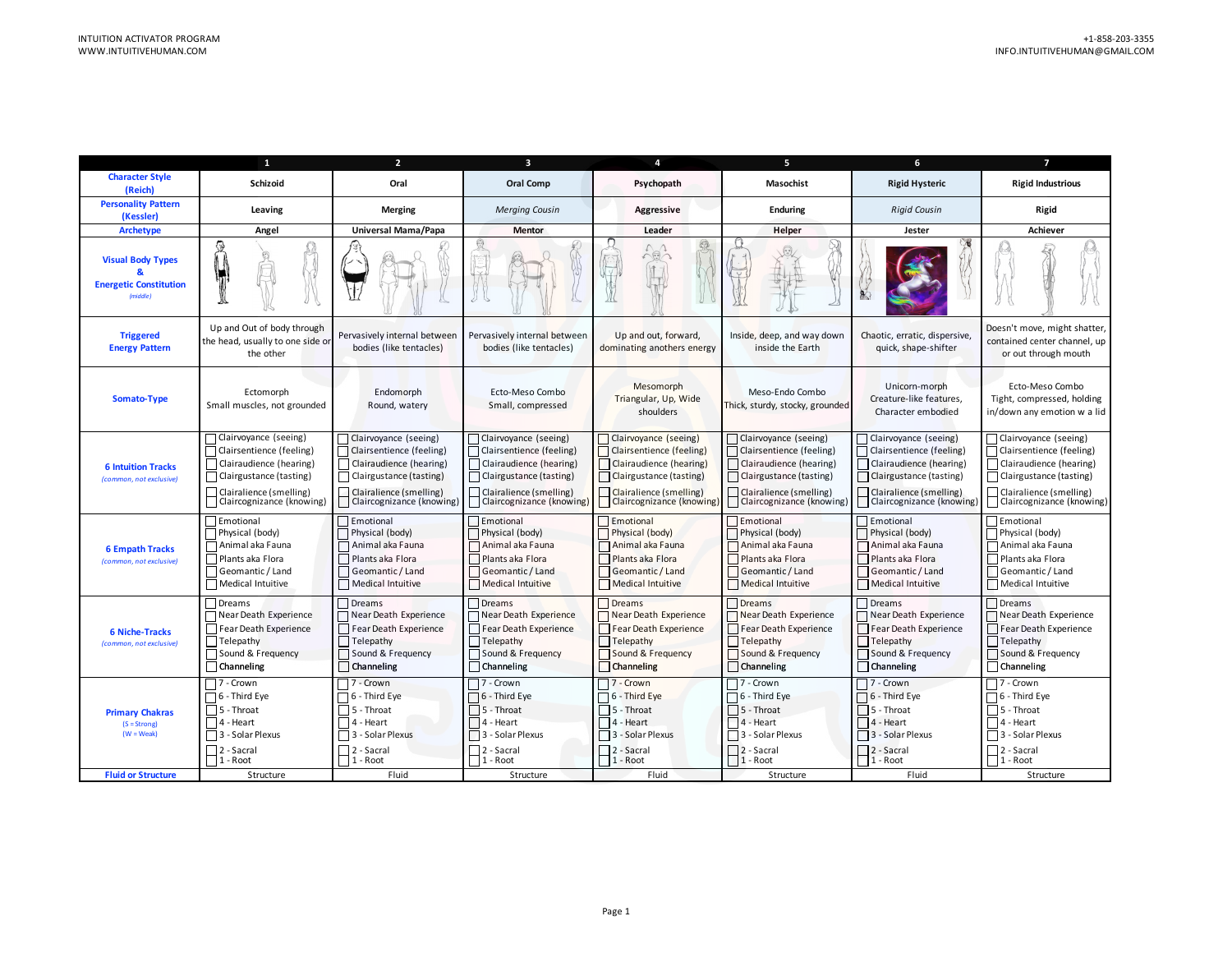|                                                                                       | 1                                                                                                                                                                     | $\overline{2}$                                                                                                                                                    | $\overline{\mathbf{3}}$                                                                                                                                           | $\overline{4}$                                                                                                                                                  | 5                                                                                                                                                                 | 6                                                                                                                                                                 | $\overline{\phantom{a}}$                                                                                                                                          |
|---------------------------------------------------------------------------------------|-----------------------------------------------------------------------------------------------------------------------------------------------------------------------|-------------------------------------------------------------------------------------------------------------------------------------------------------------------|-------------------------------------------------------------------------------------------------------------------------------------------------------------------|-----------------------------------------------------------------------------------------------------------------------------------------------------------------|-------------------------------------------------------------------------------------------------------------------------------------------------------------------|-------------------------------------------------------------------------------------------------------------------------------------------------------------------|-------------------------------------------------------------------------------------------------------------------------------------------------------------------|
| <b>Character Style</b><br>(Reich)                                                     | <b>Schizoid</b>                                                                                                                                                       | Oral                                                                                                                                                              | Oral Comp                                                                                                                                                         | Psychopath                                                                                                                                                      | <b>Masochist</b>                                                                                                                                                  | <b>Rigid Hysteric</b>                                                                                                                                             | <b>Rigid Industrious</b>                                                                                                                                          |
| <b>Personality Pattern</b><br>(Kessler)                                               | Leaving                                                                                                                                                               | <b>Merging</b>                                                                                                                                                    | <b>Merging Cousin</b>                                                                                                                                             | <b>Aggressive</b>                                                                                                                                               | <b>Enduring</b>                                                                                                                                                   | <b>Rigid Cousin</b>                                                                                                                                               | Rigid                                                                                                                                                             |
| <b>Archetype</b>                                                                      | Angel                                                                                                                                                                 | Universal Mama/Papa                                                                                                                                               | <b>Mentor</b>                                                                                                                                                     | Leader                                                                                                                                                          | Helper                                                                                                                                                            | Jester                                                                                                                                                            | <b>Achiever</b>                                                                                                                                                   |
| <b>Visual Body Types</b><br><b>Energetic Constitution</b><br>(middle)                 |                                                                                                                                                                       |                                                                                                                                                                   |                                                                                                                                                                   | $\cap$                                                                                                                                                          |                                                                                                                                                                   |                                                                                                                                                                   |                                                                                                                                                                   |
| <b>Triggered</b><br><b>Energy Pattern</b>                                             | Up and Out of body through<br>the head, usually to one side or<br>the other                                                                                           | Pervasively internal between<br>bodies (like tentacles)                                                                                                           | Pervasively internal between<br>bodies (like tentacles)                                                                                                           | Up and out, forward,<br>dominating anothers energy                                                                                                              | Inside, deep, and way down<br>inside the Earth                                                                                                                    | Chaotic, erratic, dispersive,<br>quick, shape-shifter                                                                                                             | Doesn't move, might shatter<br>contained center channel, up<br>or out through mouth                                                                               |
| Somato-Type                                                                           | Ectomorph<br>Small muscles, not grounded                                                                                                                              | Endomorph<br>Round, watery                                                                                                                                        | Ecto-Meso Combo<br>Small, compressed                                                                                                                              | Mesomorph<br>Triangular, Up, Wide<br>shoulders                                                                                                                  | Meso-Endo Combo<br>Thick, sturdy, stocky, grounded                                                                                                                | Unicorn-morph<br>Creature-like features,<br>Character embodied                                                                                                    | Ecto-Meso Combo<br>Tight, compressed, holding<br>in/down any emotion w a lid                                                                                      |
| <b>6 Intuition Tracks</b><br>(common, not exclusive)                                  | Clairvoyance (seeing)<br>  Clairsentience (feeling)<br>  Clairaudience (hearing)<br>Clairgustance (tasting)<br>  Clairalience (smelling)<br>Claircognizance (knowing) | Clairvoyance (seeing)<br>Clairsentience (feeling)<br>Clairaudience (hearing)<br>Clairgustance (tasting)<br>Clairalience (smelling)<br>  Claircognizance (knowing) | Clairvoyance (seeing)<br>Clairsentience (feeling)<br>  Clairaudience (hearing)<br>Clairgustance (tasting)<br>Clairalience (smelling)<br>Claircognizance (knowing) | Clairvoyance (seeing)<br>Clairsentience (feeling)<br>Clairaudience (hearing)<br>Clairgustance (tasting)<br>Clairalience (smelling)<br>Claircognizance (knowing) | Clairvoyance (seeing)<br>  Clairsentience (feeling)<br>Clairaudience (hearing)<br>Clairgustance (tasting)<br>Clairalience (smelling)<br>Claircognizance (knowing) | Clairvoyance (seeing)<br>Clairsentience (feeling)<br>Clairaudience (hearing)<br>Clairgustance (tasting)<br>□ Clairalience (smelling)<br>Claircognizance (knowing) | Clairvoyance (seeing)<br>  Clairsentience (feeling)<br>Clairaudience (hearing)<br>Clairgustance (tasting)<br>Clairalience (smelling)<br>Claircognizance (knowing) |
| <b>6 Empath Tracks</b><br>(common, not exclusive)                                     | Emotional<br>Physical (body)<br>Animal aka Fauna<br>Plants aka Flora<br>  Geomantic / Land<br>Medical Intuitive                                                       | Emotional<br>Physical (body)<br>$\Box$ Animal aka Fauna<br>Plants aka Flora<br>Geomantic / Land<br>Medical Intuitive                                              | Emotional<br>Physical (body)<br>□ Animal aka Fauna<br>Plants aka Flora<br>  Geomantic / Land<br>Medical Intuitive                                                 | Emotional<br>Physical (body)<br>Animal aka Fauna<br>Plants aka Flora<br>Geomantic / Land<br>Medical Intuitive                                                   | Emotional<br>Physical (body)<br>Animal aka Fauna<br>Plants aka Flora<br>Geomantic / Land<br>Medical Intuitive                                                     | $\Box$ Emotional<br>Physical (body)<br>Animal aka Fauna<br>Plants aka Flora<br>Geomantic / Land<br>    Medical Intuitive                                          | Emotional<br>Physical (body)<br>$\sqcap$ Animal aka Fauna<br>Plants aka Flora<br>Geomantic / Land<br>Medical Intuitive                                            |
| <b>6 Niche-Tracks</b><br>(common, not exclusive)                                      | Dreams<br>Near Death Experience<br>Fear Death Experience<br>$\Box$ Telepathy<br>Sound & Frequency<br>$\Box$ Channeling                                                | Dreams<br>Near Death Experience<br>Fear Death Experience<br>$\Box$ Telepathy<br>Sound & Frequency<br>  Channeling                                                 | $\Box$ Dreams<br>Near Death Experience<br>Fear Death Experience<br>$\Box$ Telepathy<br>Sound & Frequency<br>Channeling                                            | Dreams<br>Near Death Experience<br>Fear Death Experience<br>Telepathy<br>Sound & Frequency<br>Channeling                                                        | $\Box$ Dreams<br>Near Death Experience<br>Fear Death Experience<br>$\Box$ Telepathy<br>Sound & Frequency<br>$\Box$ Channeling                                     | Dreams<br>Near Death Experience<br>Fear Death Experience<br>$\Box$ Telepathy<br>Sound & Frequency<br>  Channeling                                                 | Dreams<br>Near Death Experience<br>Fear Death Experience<br>$\Box$ Telepathy<br>Sound & Frequency<br>Channeling                                                   |
| <b>Primary Chakras</b><br>$(S = Strong)$<br>$(W = Weak)$<br><b>Fluid or Structure</b> | $\neg$ 7 - Crown<br>$\Box$ 6 - Third Eye<br>$\Box$ 5 - Throat<br>$\Box$ 4 - Heart<br>  3 - Solar Plexus<br>$\Box$ 2 - Sacral<br>$1 - Root$<br>Structure               | $\neg$ 7 - Crown<br>$\Box$ 6 - Third Eye<br>5 - Throat<br>$\Box$ 4 - Heart<br>  3 - Solar Plexus<br>$\neg$ 2 - Sacral<br>$1 - Root$<br>Fluid                      | $\Box$ 7 - Crown<br>$\Box$ 6 - Third Eye<br>$\Box$ 5 - Throat<br>$\Box$ 4 - Heart<br>3 - Solar Plexus<br>$\Box$ 2 - Sacral<br>$1 - Root$<br>Structure             | $\Box$ 7 - Crown<br>$\Box$ 6 - Third Eye<br>5 - Throat<br>4 - Heart<br>3 - Solar Plexus<br>2 - Sacral<br>$1 - Root$<br>Fluid                                    | $\neg$ 7 - Crown<br>$\Box$ 6 - Third Eye<br>$ $ 5 - Throat<br>$\Box$ 4 - Heart<br>3 - Solar Plexus<br>2 - Sacral<br>$\Box$ 1 - Root<br>Structure                  | 7 - Crown<br>$\Box$ 6 - Third Eye<br>    5 - Throat<br>$\Box$ 4 - Heart<br>3 - Solar Plexus<br>$\Box$ 2 - Sacral<br>$\Box$ 1 - Root<br>Fluid                      | $\neg$ 7 - Crown<br>$\sqcap$ 6 - Third Eye<br>5 - Throat<br>$\Box$ 4 - Heart<br>3 - Solar Plexus<br>$\neg$ 2 - Sacral<br>$\mathsf{T}_1$ - Root<br>Structure       |